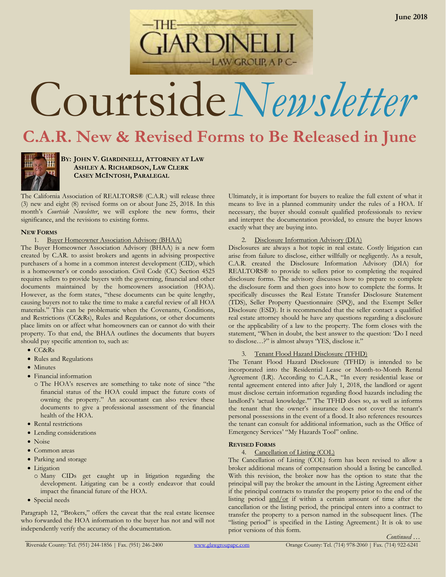Courtside*Newsletter*

**AW GROUP, A P C-**

# **C.A.R. New & Revised Forms to Be Released in June**



**BY: JOHN V. GIARDINELLI, ATTORNEY AT LAW ASHLEY A. RICHARDSON, LAW CLERK CASEY MCINTOSH, PARALEGAL**

The California Association of REALTORS® (C.A.R.) will release three (3) new and eight (8) revised forms on or about June 25, 2018. In this month's *Courtside Newsletter*, we will explore the new forms, their significance, and the revisions to existing forms.

### **NEW FORMS**

1. Buyer Homeowner Association Advisory (BHAA)

The Buyer Homeowner Association Advisory (BHAA) is a new form created by C.AR. to assist brokers and agents in advising prospective purchasers of a home in a common interest development (CID), which is a homeowner's or condo association. Civil Code (CC) Section 4525 requires sellers to provide buyers with the governing, financial and other documents maintained by the homeowners association (HOA). However, as the form states, "these documents can be quite lengthy, causing buyers not to take the time to make a careful review of all HOA materials." This can be problematic when the Covenants, Conditions, and Restrictions (CC&Rs), Rules and Regulations, or other documents place limits on or affect what homeowners can or cannot do with their property. To that end, the BHAA outlines the documents that buyers should pay specific attention to, such as:

- CC&Rs
- Rules and Regulations
- Minutes
- Financial information
	- o The HOA's reserves are something to take note of since "the financial status of the HOA could impact the future costs of owning the property." An accountant can also review these documents to give a professional assessment of the financial health of the HOA.
- Rental restrictions
- Lending considerations
- Noise
- Common areas
- Parking and storage
- Litigation
	- o Many CIDs get caught up in litigation regarding the development. Litigating can be a costly endeavor that could impact the financial future of the HOA.
- Special needs

Paragraph 12, "Brokers," offers the caveat that the real estate licensee who forwarded the HOA information to the buyer has not and will not independently verify the accuracy of the documentation.

Ultimately, it is important for buyers to realize the full extent of what it means to live in a planned community under the rules of a HOA. If necessary, the buyer should consult qualified professionals to review and interpret the documentation provided, to ensure the buyer knows exactly what they are buying into.

## 2. Disclosure Information Advisory (DIA)

Disclosures are always a hot topic in real estate. Costly litigation can arise from failure to disclose, either willfully or negligently. As a result, C.A.R. created the Disclosure Information Advisory (DIA) for REALTORS® to provide to sellers prior to completing the required disclosure forms. The advisory discusses how to prepare to complete the disclosure form and then goes into how to complete the forms. It specifically discusses the Real Estate Transfer Disclosure Statement (TDS), Seller Property Questionnaire (SPQ), and the Exempt Seller Disclosure (ESD). It is recommended that the seller contact a qualified real estate attorney should he have any questions regarding a disclosure or the applicability of a law to the property. The form closes with the statement, "When in doubt, the best answer to the question: 'Do I need to disclose…?" is almost always 'YES, disclose it."

## 3. Tenant Flood Hazard Disclosure (TFHD)

The Tenant Flood Hazard Disclosure (TFHD) is intended to be incorporated into the Residential Lease or Month-to-Month Rental Agreement (LR). According to C.A.R., "In every residential lease or rental agreement entered into after July 1, 2018, the landlord or agent must disclose certain information regarding flood hazards including the landlord's 'actual knowledge.'" The TFHD does so, as well as informs the tenant that the owner's insurance does not cover the tenant's personal possessions in the event of a flood. It also references resources the tenant can consult for additional information, such as the Office of Emergency Services' "My Hazards Tool" online.

# **REVISED FORMS**

4. Cancellation of Listing (COL)

The Cancellation of Listing (COL) form has been revised to allow a broker additional means of compensation should a listing be cancelled. With this revision, the broker now has the option to state that the principal will pay the broker the amount in the Listing Agreement either if the principal contracts to transfer the property prior to the end of the listing period and/or if within a certain amount of time after the cancellation or the listing period, the principal enters into a contract to transfer the property to a person named in the subsequent lines. (The "listing period" is specified in the Listing Agreement.) It is ok to use prior versions of this form.